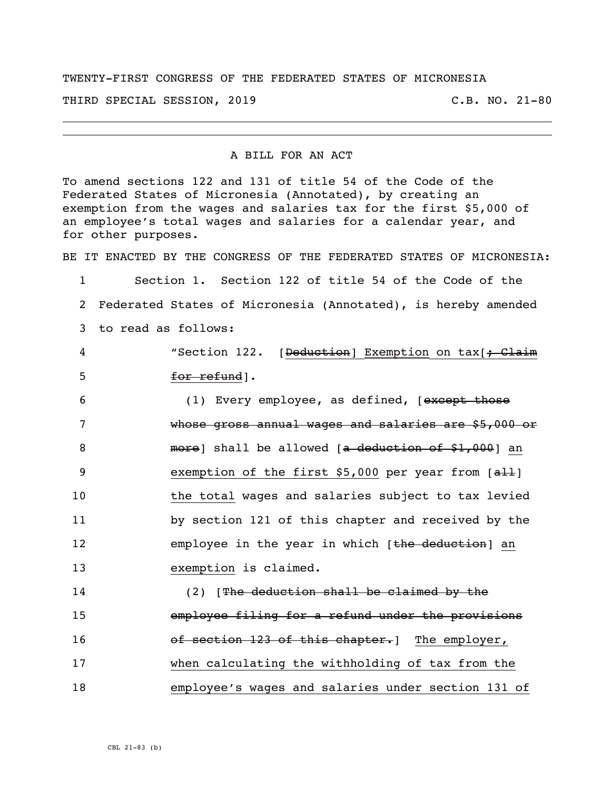TWENTY-FIRST CONGRESS OF THE FEDERATED STATES OF MICRONESIA

THIRD SPECIAL SESSION, 2019 C.B. NO. 21-80

## A BILL FOR AN ACT

To amend sections 122 and 131 of title 54 of the Code of the Federated States of Micronesia (Annotated), by creating an exemption from the wages and salaries tax for the first \$5,000 of an employee's total wages and salaries for a calendar year, and for other purposes.

BE IT ENACTED BY THE CONGRESS OF THE FEDERATED STATES OF MICRONESIA:

1 Section 1. Section 122 of title 54 of the Code of the 2 Federated States of Micronesia (Annotated), is hereby amended 3 to read as follows:

4 "Section 122. [Deduction] Exemption on tax[<del>; Claim</del> 5 **for refund**.

6 (1) Every employee, as defined, [except those whose gross annual wages and salaries are \$5,000 or **more** chall be allowed [a deduction of \$1,000] an 9 exemption of the first \$5,000 per year from [all] the total wages and salaries subject to tax levied by section 121 of this chapter and received by the 12 employee in the year in which [the deduction] an exemption is claimed.

14 (2) [The deduction shall be claimed by the employee filing for a refund under the provisions **10 of section 123 of this chapter.** The employer, when calculating the withholding of tax from the employee's wages and salaries under section 131 of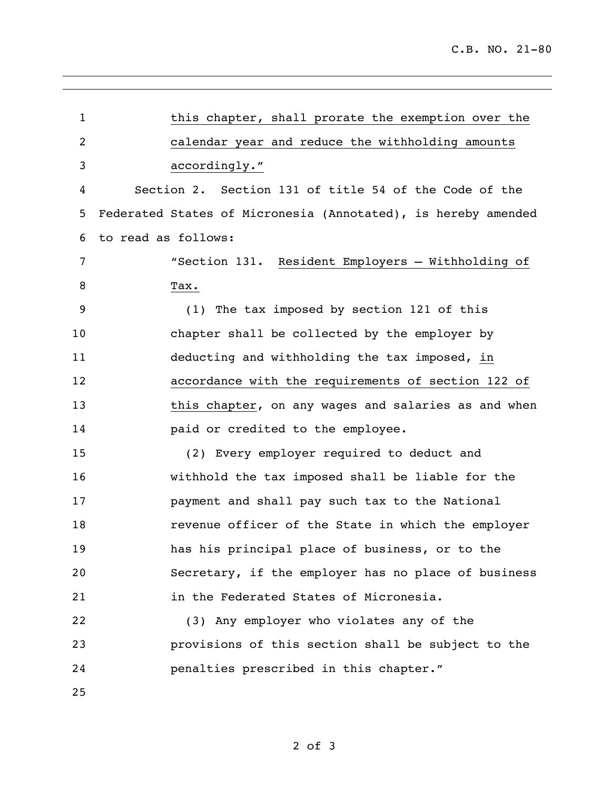| $\mathbf{1}$ | this chapter, shall prorate the exemption over the            |
|--------------|---------------------------------------------------------------|
| 2            | calendar year and reduce the withholding amounts              |
| 3            | accordingly."                                                 |
| 4            | Section 2. Section 131 of title 54 of the Code of the         |
| 5            | Federated States of Micronesia (Annotated), is hereby amended |
| 6            | to read as follows:                                           |
| 7            | "Section 131. Resident Employers - Withholding of             |
| 8            | Tax.                                                          |
| 9            | (1) The tax imposed by section 121 of this                    |
| 10           | chapter shall be collected by the employer by                 |
| 11           | deducting and withholding the tax imposed, in                 |
| 12           | accordance with the requirements of section 122 of            |
| 13           | this chapter, on any wages and salaries as and when           |
| 14           | paid or credited to the employee.                             |
| 15           | (2) Every employer required to deduct and                     |
| 16           | withhold the tax imposed shall be liable for the              |
| 17           | payment and shall pay such tax to the National                |
| 18           | revenue officer of the State in which the employer            |
| 19           | has his principal place of business, or to the                |
| 20           | Secretary, if the employer has no place of business           |
| 21           | in the Federated States of Micronesia.                        |
| 22           | (3) Any employer who violates any of the                      |
| 23           | provisions of this section shall be subject to the            |
| 24           | penalties prescribed in this chapter."                        |
| 25           |                                                               |